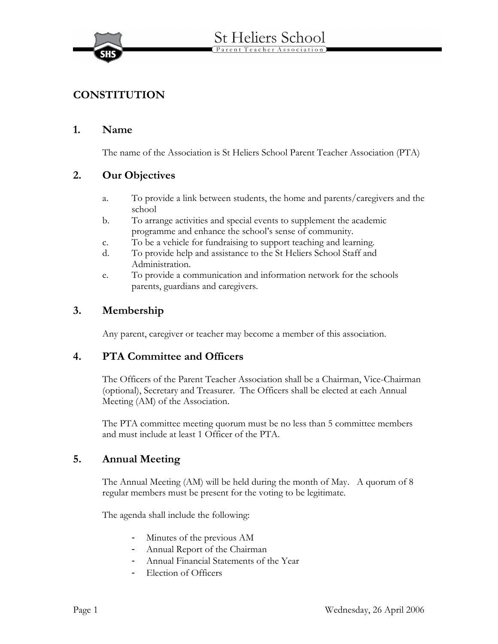

# **CONSTITUTION**

#### **1. Name**

The name of the Association is St Heliers School Parent Teacher Association (PTA)

### **2. Our Objectives**

- a. To provide a link between students, the home and parents/caregivers and the school
- b. To arrange activities and special events to supplement the academic programme and enhance the school's sense of community.
- c. To be a vehicle for fundraising to support teaching and learning.
- d. To provide help and assistance to the St Heliers School Staff and Administration.
- e. To provide a communication and information network for the schools parents, guardians and caregivers.

### **3. Membership**

Any parent, caregiver or teacher may become a member of this association.

### **4. PTA Committee and Officers**

The Officers of the Parent Teacher Association shall be a Chairman, Vice-Chairman (optional), Secretary and Treasurer. The Officers shall be elected at each Annual Meeting (AM) of the Association.

The PTA committee meeting quorum must be no less than 5 committee members and must include at least 1 Officer of the PTA.

### **5. Annual Meeting**

The Annual Meeting (AM) will be held during the month of May. A quorum of 8 regular members must be present for the voting to be legitimate.

The agenda shall include the following:

- Minutes of the previous AM
- Annual Report of the Chairman
- Annual Financial Statements of the Year
- Election of Officers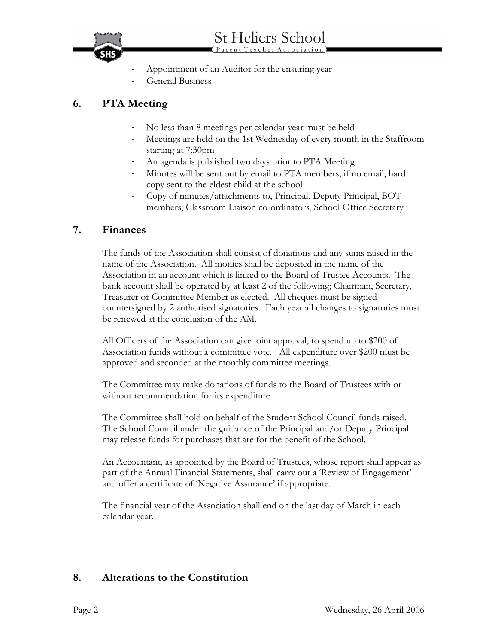

# **6. PTA Meeting**

- No less than 8 meetings per calendar year must be held
- Meetings are held on the 1st Wednesday of every month in the Staffroom starting at 7:30pm
- An agenda is published two days prior to PTA Meeting
- Minutes will be sent out by email to PTA members, if no email, hard copy sent to the eldest child at the school
- Copy of minutes/attachments to, Principal, Deputy Principal, BOT members, Classroom Liaison co-ordinators, School Office Secretary

#### **7. Finances**

The funds of the Association shall consist of donations and any sums raised in the name of the Association. All monies shall be deposited in the name of the Association in an account which is linked to the Board of Trustee Accounts. The bank account shall be operated by at least 2 of the following; Chairman, Secretary, Treasurer or Committee Member as elected. All cheques must be signed countersigned by 2 authorised signatories. Each year all changes to signatories must be renewed at the conclusion of the AM.

All Officers of the Association can give joint approval, to spend up to \$200 of Association funds without a committee vote. All expenditure over \$200 must be approved and seconded at the monthly committee meetings.

The Committee may make donations of funds to the Board of Trustees with or without recommendation for its expenditure.

The Committee shall hold on behalf of the Student School Council funds raised. The School Council under the guidance of the Principal and/or Deputy Principal may release funds for purchases that are for the benefit of the School.

An Accountant, as appointed by the Board of Trustees, whose report shall appear as part of the Annual Financial Statements, shall carry out a 'Review of Engagement' and offer a certificate of 'Negative Assurance' if appropriate.

The financial year of the Association shall end on the last day of March in each calendar year.

### **8. Alterations to the Constitution**